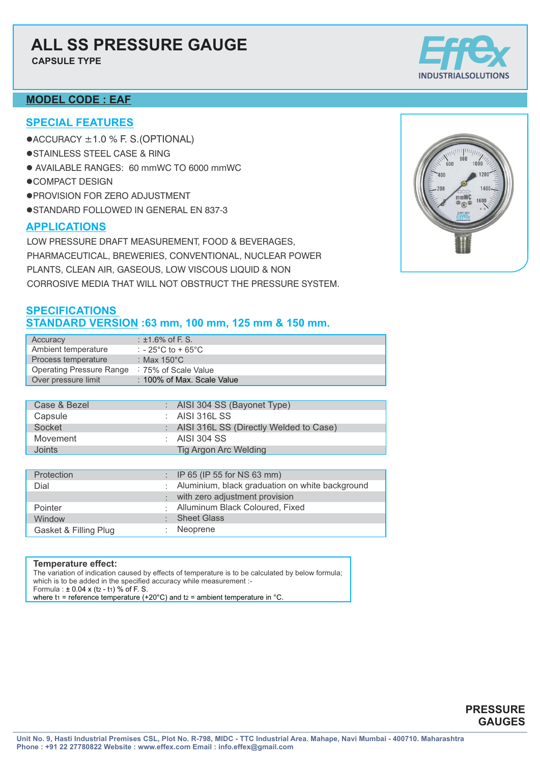### **ALL SS PRESSURE GAUGE**

**CAPSULE TYPE**

### **MODEL CODE : EAF**

#### **SPECIAL FEATURES**

- $\bullet$ ACCURACY  $\pm$ 1.0 % F. S. (OPTIONAL)
- **.**STAINLESS STEEL CASE & RING
- l AVAILABLE RANGES: 60 mmWC TO 6000 mmWC
- $\bullet$ COMPACT DESIGN
- **· PROVISION FOR ZERO ADJUSTMENT**
- **.**STANDARD FOLLOWED IN GENERAL EN 837-3

### **APPLICATIONS**

LOW PRESSURE DRAFT MEASUREMENT, FOOD & BEVERAGES, PHARMACEUTICAL, BREWERIES, CONVENTIONAL, NUCLEAR POWER PLANTS, CLEAN AIR, GASEOUS, LOW VISCOUS LIQUID & NON CORROSIVE MEDIA THAT WILL NOT OBSTRUCT THE PRESSURE SYSTEM.

### **SPECIFICATIONS STANDARD VERSION :63 mm, 100 mm, 125 mm & 150 mm.**

| Accuracy                 | $:$ ±1.6% of F. S.                     |
|--------------------------|----------------------------------------|
| Ambient temperature      | : $-25^{\circ}$ C to + 65 $^{\circ}$ C |
| Process temperature      | : Max 150 $^{\circ}$ C                 |
| Operating Pressure Range | : 75% of Scale Value                   |
| Over pressure limit      | : 100% of Max. Scale Value             |

| Case & Bezel | : AISI 304 SS (Bayonet Type)             |  |
|--------------|------------------------------------------|--|
| Capsule      | : AISI 316L SS                           |  |
| Socket       | : AISI 316L SS (Directly Welded to Case) |  |
| Movement     | $\therefore$ AISI 304 SS                 |  |
| Joints       | Tig Argon Arc Welding                    |  |
|              |                                          |  |

| Protection            | : IP 65 (IP 55 for NS 63 mm)                      |
|-----------------------|---------------------------------------------------|
| Dial                  | : Aluminium, black graduation on white background |
|                       | with zero adjustment provision                    |
| Pointer               | : Alluminum Black Coloured, Fixed                 |
| Window                | : Sheet Glass                                     |
| Gasket & Filling Plug | Neoprene                                          |

#### **Temperature effect:**

The variation of indication caused by effects of temperature is to be calculated by below formula; which is to be added in the specified accuracy while measurement :-Formula :  $\pm 0.04 \times (t_2 - t_1)$  % of F. S. where t<sub>1</sub> = reference temperature (+20 $^{\circ}$ C) and t<sub>2</sub> = ambient temperature in  $^{\circ}$ C.



### **PRESSURE GAUGES**

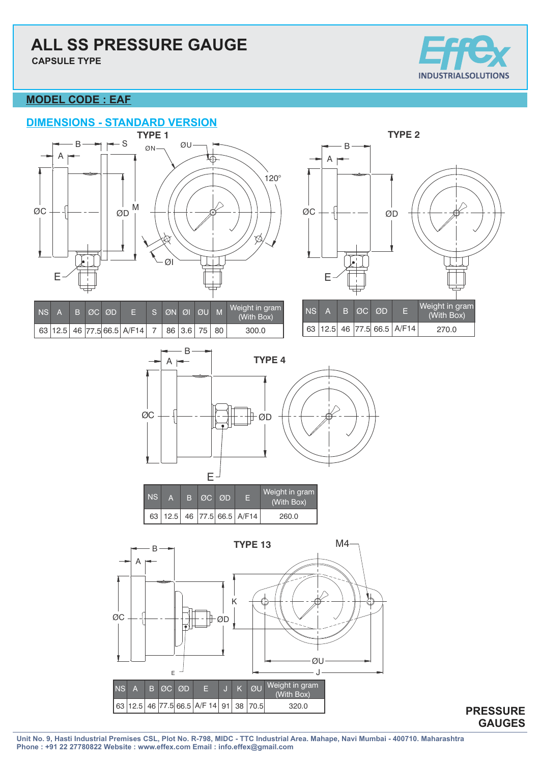**CAPSULE TYPE**



### **MODEL CODE : EAF**





| <b>NS</b> |  | B ØC ØD |                                      | IS ØN ØI ØU M             |  | Weight in gram<br>(With Box) | I NS N | A |
|-----------|--|---------|--------------------------------------|---------------------------|--|------------------------------|--------|---|
|           |  |         | 63   12.5   46   77.5   66.5   A/F14 | <sup>1</sup> 86 3.6 75 80 |  | 300.0                        | 63 112 |   |





| NS | R. | ⊥ØC⊢ØD |                                      | Weight in gram<br>(With Box) |
|----|----|--------|--------------------------------------|------------------------------|
|    |    |        | 63   12.5   46   77.5   66.5   A/F14 | 260.0                        |

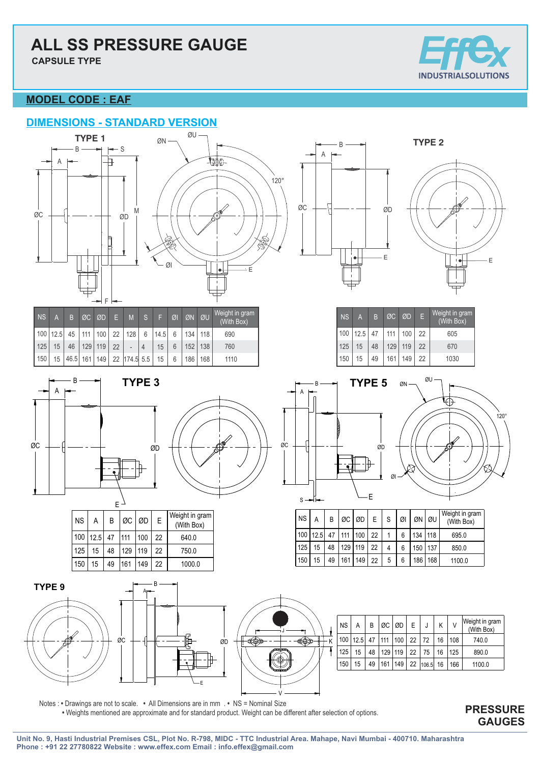# **ALL SS PRESSURE GAUGE**

**CAPSULE TYPE**



### **MODEL CODE : EAF**





| <b>NS</b>        | A  | TB.                | ØC             | <b>ØD</b> | -9× | M            | <sub>S</sub> | F    | ØI | ØN  | OU  | Weight in gram,<br>(With Box) |
|------------------|----|--------------------|----------------|-----------|-----|--------------|--------------|------|----|-----|-----|-------------------------------|
| $100$   12.5     |    |                    | 45   111   100 |           |     | 22 128       | 6            | 14.5 | 6  | 134 | 118 | 690                           |
| 125              | 15 | 46                 |                | 129 119   | 22  |              |              | 15   | 6  | 152 | 138 | 760                           |
| 150 <sub>1</sub> | 15 | $ 46.5 $ 161   149 |                |           |     | 22 174.5 5.5 |              | 15   | 6  | 186 | 168 | 1110                          |





| $'$ NS $\,$ | Α                     | B  | $\emptyset$ C $\emptyset$ D |     | E  | Weight in gram<br>(With Box) |
|-------------|-----------------------|----|-----------------------------|-----|----|------------------------------|
|             | 100   12.5   47   111 |    |                             | 100 | 22 | 640.0                        |
| 125         | 15                    | 48 | 129                         | 119 | 22 | 750.0                        |
| 150         | 15                    | 49 | 161                         | 149 | 22 | 1000.0                       |







| <b>NS</b> | A         | B  | ØC ØD     |     | Æ  | Weight in gram<br>(With Box) |
|-----------|-----------|----|-----------|-----|----|------------------------------|
| 100       | $12.5$ 47 |    | 111   100 |     | 22 | 605                          |
| 125       | 15        | 48 | 129       | 119 | 22 | 670                          |
| 150       | 15        | 49 | 161       | 149 | 22 | 1030                         |





| <b>NS</b>        | Α    | B  |         | $\emptyset$ C $\emptyset$ D $\blacksquare$ | E. | S | ØI | ØN ØU |     | Weight in gram<br>(With Box) |
|------------------|------|----|---------|--------------------------------------------|----|---|----|-------|-----|------------------------------|
| 100 <sub>1</sub> | 12.5 | 47 | 111     | 1001                                       | 22 |   | 6  | 134   | 118 | 695.0                        |
| 125              | 15   | 48 | 129 119 |                                            | 22 |   | 6  | 150   | 137 | 850.0                        |
| 150              | 15   | 49 | 161     | 149                                        | 22 | 5 | 6  | 186 l | 168 | 1100.0                       |

|   | <b>NS</b> | А    | В  | ØC  | ØD  | E  | J     | Κ  | V   | Weight in gram<br>(With Box) |
|---|-----------|------|----|-----|-----|----|-------|----|-----|------------------------------|
| K | 100       | 12.5 | 47 | 111 | 100 | 22 | 72    | 16 | 108 | 740.0                        |
|   | 125       | 15   | 48 | 129 | 119 | 22 | 75    | 16 | 125 | 890.0                        |
|   | 150       | 15   | 49 | 161 | 149 | 22 | 106.5 | 16 | 166 | 1100.0                       |
|   |           |      |    |     |     |    |       |    |     |                              |

Notes : **•** Drawings are not to scale. **•** All Dimensions are in mm . **•** NS = Nominal Size **•** Weights mentioned are approximate and for standard product. Weight can be different after selection of options.

E

### **PRESSURE GAUGES**

V

J

€⊕

€